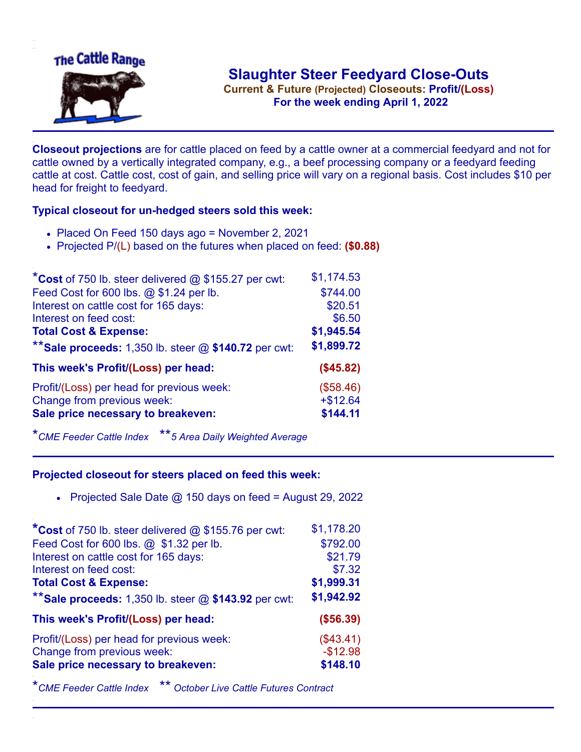

**Current & Future (Projected) Closeouts: Profit/(Loss)** .**For the week ending April 1, 2022**

**Closeout projections** are for cattle placed on feed by a cattle owner at a commercial feedyard and not for cattle owned by a vertically integrated company, e.g., a beef processing company or a feedyard feeding cattle at cost. Cattle cost, cost of gain, and selling price will vary on a regional basis. Cost includes \$10 per head for freight to feedyard.

## **Typical closeout for un-hedged steers sold this week:**

- Placed On Feed 150 days ago = November 2, 2021
- Projected P/(L) based on the futures when placed on feed: **(\$0.88)**

| *Cost of 750 lb. steer delivered @ \$155.27 per cwt:    | \$1,174.53 |
|---------------------------------------------------------|------------|
| Feed Cost for 600 lbs. @ \$1.24 per lb.                 | \$744.00   |
| Interest on cattle cost for 165 days:                   | \$20.51    |
| Interest on feed cost:                                  | \$6.50     |
| <b>Total Cost &amp; Expense:</b>                        | \$1,945.54 |
| ** Sale proceeds: 1,350 lb. steer $@$ \$140.72 per cwt: | \$1,899.72 |
| This week's Profit/(Loss) per head:                     | (\$45.82)  |
| Profit/(Loss) per head for previous week:               | (\$58.46)  |
| Change from previous week:                              | $+ $12.64$ |
| Sale price necessary to breakeven:                      | \$144.11   |

\**CME Feeder Cattle Index* \*\**5 Area Daily Weighted Average*

## **Projected closeout for steers placed on feed this week:**

• Projected Sale Date  $@$  150 days on feed = August 29, 2022

| *Cost of 750 lb. steer delivered $@$ \$155.76 per cwt:  | \$1,178.20 |
|---------------------------------------------------------|------------|
| Feed Cost for 600 lbs. @ \$1.32 per lb.                 | \$792.00   |
| Interest on cattle cost for 165 days:                   | \$21.79    |
| Interest on feed cost:                                  | \$7.32     |
| <b>Total Cost &amp; Expense:</b>                        | \$1,999.31 |
| ** Sale proceeds: 1,350 lb. steer $@$ \$143.92 per cwt: | \$1,942.92 |
| This week's Profit/(Loss) per head:                     | (\$56.39)  |
| Profit/(Loss) per head for previous week:               | (\$43.41)  |
| Change from previous week:                              | $-$12.98$  |
| Sale price necessary to breakeven:                      | \$148.10   |

\**CME Feeder Cattle Index* \*\* *October Live Cattle Futures Contract*